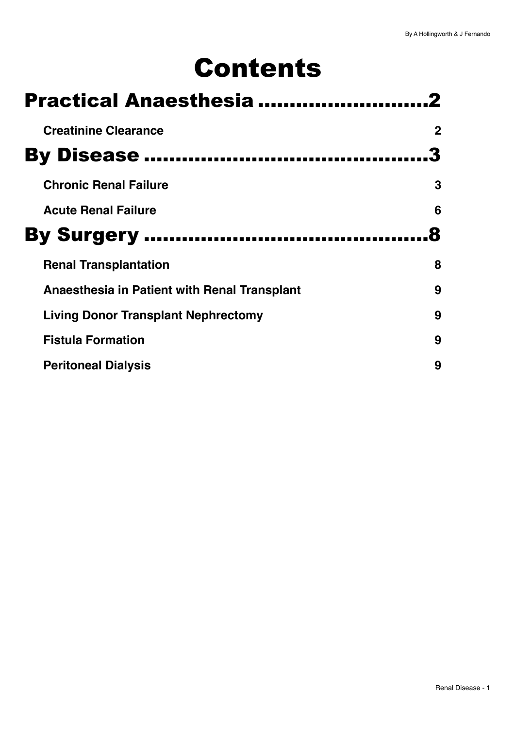# Contents

| <b>Practical Anaesthesia</b>                 |             |  |
|----------------------------------------------|-------------|--|
| <b>Creatinine Clearance</b>                  | $\mathbf 2$ |  |
| <b>By Disease </b>                           |             |  |
| <b>Chronic Renal Failure</b>                 | 3           |  |
| <b>Acute Renal Failure</b>                   | 6           |  |
| <b>By Surgery </b>                           |             |  |
| <b>Renal Transplantation</b>                 | 8           |  |
| Anaesthesia in Patient with Renal Transplant | 9           |  |
| Living Donor Transplant Nephrectomy          | 9           |  |
| <b>Fistula Formation</b>                     | 9           |  |
| <b>Peritoneal Dialysis</b>                   | 9           |  |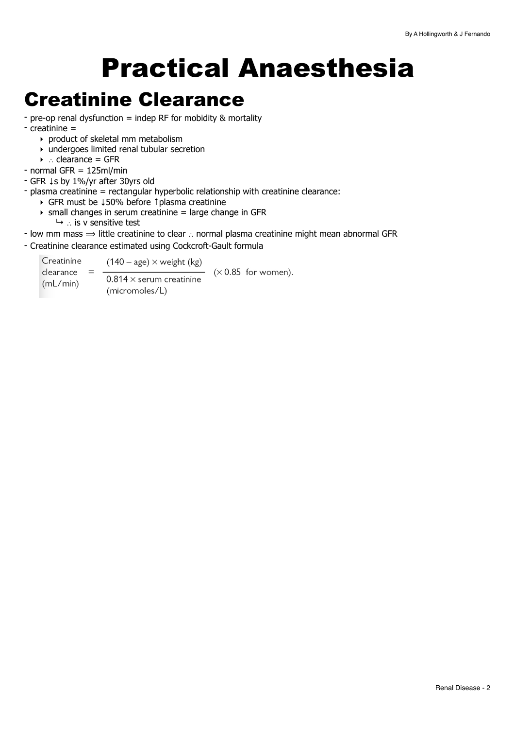# <span id="page-1-0"></span>Practical Anaesthesia

## <span id="page-1-1"></span>Creatinine Clearance

- pre-op renal dysfunction = indep RF for mobidity & mortality

- creatinine =
	- ‣ product of skeletal mm metabolism
	- ‣ undergoes limited renal tubular secretion
	- ‣ ∴ clearance = GFR
- normal GFR = 125ml/min

- GFR ↓s by 1%/yr after 30yrs old

- plasma creatinine = rectangular hyperbolic relationship with creatinine clearance:
	- ‣ GFR must be ↓50% before ↑plasma creatinine
	- $\rightarrow$  small changes in serum creatinine = large change in GFR ↳ ∴ is v sensitive test
- low mm mass  $\Rightarrow$  little creatinine to clear ∴ normal plasma creatinine might mean abnormal GFR
- Creatinine clearance estimated using Cockcroft-Gault formula

Creatinine  $(140 - age) \times weight (kg)$  $(x 0.85$  for women).  $clearance =$  $0.814 \times$  serum creatinine  $(mL/min)$ (micromoles/L)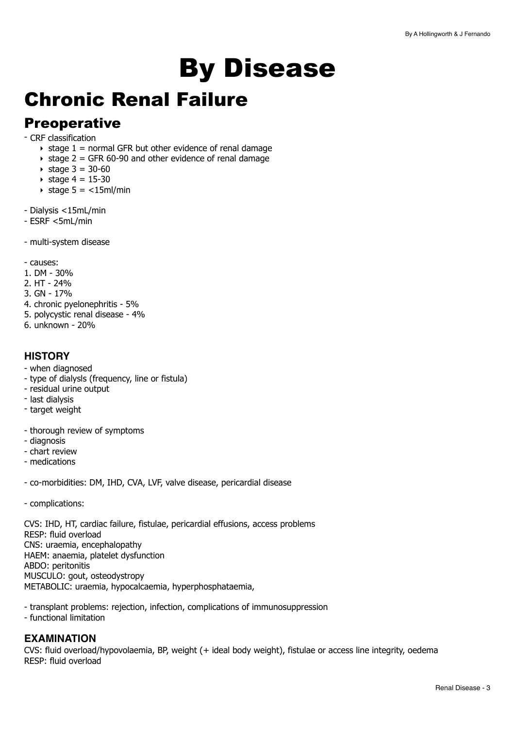# <span id="page-2-0"></span>By Disease

# <span id="page-2-1"></span>Chronic Renal Failure

## **Preoperative**

- CRF classification

- $\rightarrow$  stage 1 = normal GFR but other evidence of renal damage
- $\rightarrow$  stage 2 = GFR 60-90 and other evidence of renal damage
- $\triangleright$  stage 3 = 30-60
- $\rightarrow$  stage 4 = 15-30
- $\triangleright$  stage 5 = <15ml/min
- Dialysis <15mL/min
- ESRF <5mL/min
- multi-system disease

- causes:

- 1. DM 30%
- 2. HT 24%
- 3. GN 17%
- 4. chronic pyelonephritis 5%
- 5. polycystic renal disease 4%
- 6. unknown 20%

#### **HISTORY**

- when diagnosed
- type of dialysls (frequency, line or fistula)
- residual urine output
- last dialysis
- target weight
- thorough review of symptoms
- diagnosis
- chart review
- medications
- co-morbidities: DM, IHD, CVA, LVF, valve disease, pericardial disease
- complications:

CVS: IHD, HT, cardiac failure, fistulae, pericardial effusions, access problems RESP: fluid overload CNS: uraemia, encephalopathy HAEM: anaemia, platelet dysfunction ABDO: peritonitis MUSCULO: gout, osteodystropy METABOLIC: uraemia, hypocalcaemia, hyperphosphataemia,

- transplant problems: rejection, infection, complications of immunosuppression

- functional limitation

#### **EXAMINATION**

CVS: fluid overload/hypovolaemia, BP, weight (+ ideal body weight), fistulae or access line integrity, oedema RESP: fluid overload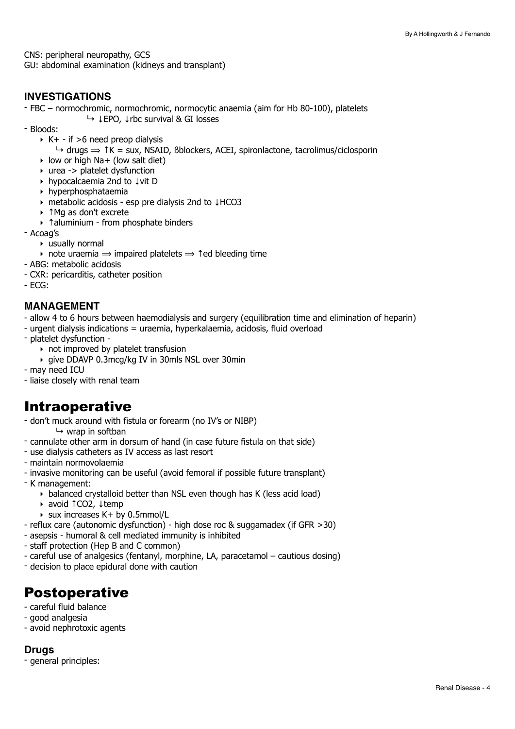CNS: peripheral neuropathy, GCS GU: abdominal examination (kidneys and transplant)

#### **INVESTIGATIONS**

- FBC – normochromic, normochromic, normocytic anaemia (aim for Hb 80-100), platelets ↳ ↓EPO, ↓rbc survival & GI losses

- Bloods:
	- $\triangleright$  K+ if >6 need preop dialysis
		- $\rightarrow$  drugs  $\Rightarrow$   $\uparrow$  K = sux, NSAID, Bblockers, ACEI, spironlactone, tacrolimus/ciclosporin
	- $\rightarrow$  low or high Na+ (low salt diet)
	- ‣ urea -> platelet dysfunction
	- ‣ hypocalcaemia 2nd to ↓vit D
	- ‣ hyperphosphataemia
	- ‣ metabolic acidosis esp pre dialysis 2nd to ↓HCO3
	- ‣ ↑Mg as don't excrete
	- ‣ ↑aluminium from phosphate binders
- Acoag's
	- ‣ usually normal
	- note uraemia  $\Rightarrow$  impaired platelets  $\Rightarrow$  1 ed bleeding time
- ABG: metabolic acidosis
- CXR: pericarditis, catheter position
- ECG:

#### **MANAGEMENT**

- allow 4 to 6 hours between haemodialysis and surgery (equilibration time and elimination of heparin)
- urgent dialysis indications = uraemia, hyperkalaemia, acidosis, fluid overload
- platelet dysfunction
	- ‣ not improved by platelet transfusion
	- ‣ give DDAVP 0.3mcg/kg IV in 30mls NSL over 30min
- may need ICU
- liaise closely with renal team

## Intraoperative

- don't muck around with fistula or forearm (no IV's or NIBP)  $\mapsto$  wrap in softban
- cannulate other arm in dorsum of hand (in case future fistula on that side)
- use dialysis catheters as IV access as last resort
- maintain normovolaemia
- invasive monitoring can be useful (avoid femoral if possible future transplant)
- K management:
	- ‣ balanced crystalloid better than NSL even though has K (less acid load)
	- ‣ avoid ↑CO2, ↓temp
	- $\rightarrow$  sux increases K+ by 0.5mmol/L
- reflux care (autonomic dysfunction) high dose roc & suggamadex (if GFR >30)
- asepsis humoral & cell mediated immunity is inhibited
- staff protection (Hep B and C common)
- careful use of analgesics (fentanyl, morphine, LA, paracetamol cautious dosing)
- decision to place epidural done with caution

## Postoperative

- careful fluid balance
- good analgesia
- avoid nephrotoxic agents

#### **Drugs**

- general principles: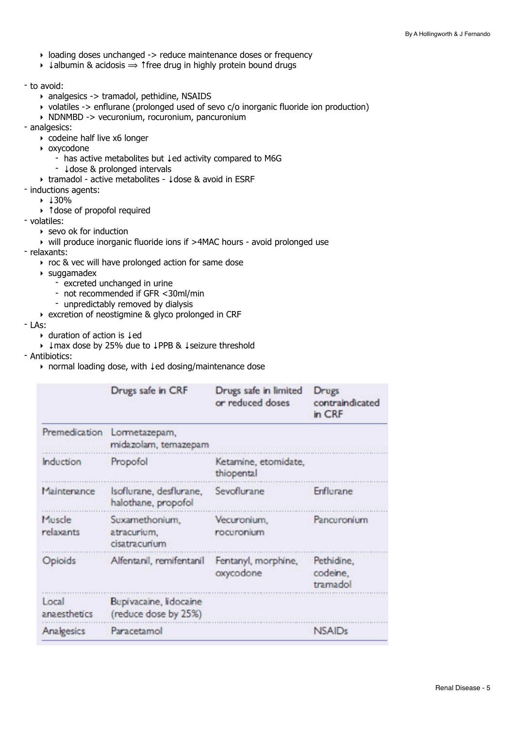- ‣ loading doses unchanged -> reduce maintenance doses or frequency
- $\rightarrow$   $\downarrow$  albumin & acidosis  $\Rightarrow$  ↑ free drug in highly protein bound drugs
- to avoid:
	- ‣ analgesics -> tramadol, pethidine, NSAIDS
	- ‣ volatiles -> enflurane (prolonged used of sevo c/o inorganic fluoride ion production)
	- ‣ NDNMBD -> vecuronium, rocuronium, pancuronium
- analgesics:
	- ‣ codeine half live x6 longer
	- ‣ oxycodone
		- has active metabolites but ↓ed activity compared to M6G
		- ↓dose & prolonged intervals
	- ‣ tramadol active metabolites ↓dose & avoid in ESRF
- inductions agents:
	- ‣ ↓30%
	- ‣ ↑dose of propofol required
- volatiles:
	- $\rightarrow$  sevo ok for induction
	- ‣ will produce inorganic fluoride ions if >4MAC hours avoid prolonged use
- relaxants:
	- ‣ roc & vec will have prolonged action for same dose
	- ‣ suggamadex
		- excreted unchanged in urine
		- not recommended if GFR <30ml/min
		- unpredictably removed by dialysis
	- ‣ excretion of neostigmine & glyco prolonged in CRF

- LAs:

- ‣ duration of action is ↓ed
- ‣ ↓max dose by 25% due to ↓PPB & ↓seizure threshold
- Antibiotics:
	- ‣ normal loading dose, with ↓ed dosing/maintenance dose

|                       | Drugs safe in CRF                               | Drugs safe in limited<br>or reduced doses | Drugs<br>contraindicated<br>in CRF |
|-----------------------|-------------------------------------------------|-------------------------------------------|------------------------------------|
| Premedication         | Lormetazepam,<br>midazolam, temazepam           |                                           |                                    |
| Induction             | Propofol                                        | Ketamine, etomidate,<br>thiopental        |                                    |
| Maintenance           | Isoflurane, desflurane,<br>halothane, propofol  | Sevoflurane                               | Enflurane                          |
| Muscle<br>relaxants   | Suxamethonium,<br>atracurium,<br>cisatra curium | Vecuronium.<br>rocuronium                 | Pancuronium                        |
| Opioids               | Alfentanil, remifentanil                        | Fentanyl, morphine,<br>oxycodone          | Pethidine.<br>codeine.<br>tramadol |
| Local<br>anaesthetics | Bupivacaine, lidocaine<br>(reduce dose by 25%)  |                                           |                                    |
| Analgesics            | Paracetamol                                     |                                           | <b>NSAIDs</b>                      |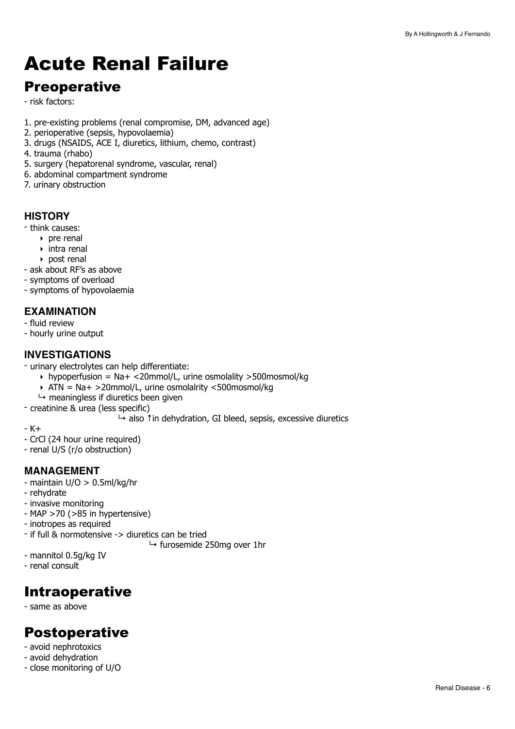# <span id="page-5-0"></span>Acute Renal Failure

## Preoperative

- risk factors:

- 1. pre-existing problems (renal compromise, DM, advanced age)
- 2. perioperative (sepsis, hypovolaemia)
- 3. drugs (NSAIDS, ACE I, diuretics, lithium, chemo, contrast)
- 4. trauma (rhabo)
- 5. surgery (hepatorenal syndrome, vascular, renal)
- 6. abdominal compartment syndrome
- 7. urinary obstruction

### **HISTORY**

- think causes:
	- ‣ pre renal
		- ‣ intra renal
		- ‣ post renal
- ask about RF's as above
- symptoms of overload
- symptoms of hypovolaemia

### **EXAMINATION**

- fluid review
- hourly urine output

### **INVESTIGATIONS**

- urinary electrolytes can help differentiate:
	- $\rightarrow$  hypoperfusion = Na+ <20mmol/L, urine osmolality >500mosmol/kg
	- ‣ ATN = Na+ >20mmol/L, urine osmolalrity <500mosmol/kg
	- $\mapsto$  meaningless if diuretics been given
- creatinine & urea (less specific)
	- ↳ also ↑in dehydration, GI bleed, sepsis, excessive diuretics
- K+
- CrCl (24 hour urine required)
- renal U/S (r/o obstruction)

#### **MANAGEMENT**

- maintain U/O > 0.5ml/kg/hr
- rehydrate
- invasive monitoring
- MAP >70 (>85 in hypertensive)
- inotropes as required
- if full & normotensive -> diuretics can be tried
	- $\mapsto$  furosemide 250mg over 1hr
- mannitol 0.5g/kg IV
- renal consult

## Intraoperative

- same as above

## Postoperative

- avoid nephrotoxics
- avoid dehydration
- close monitoring of U/O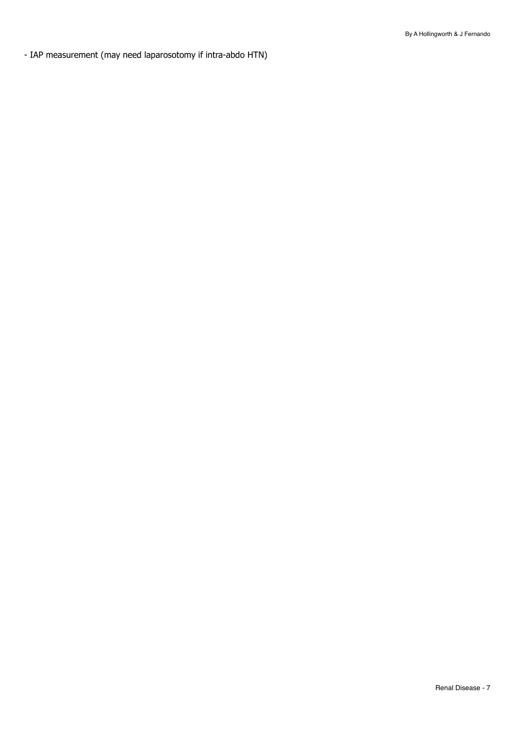- IAP measurement (may need laparosotomy if intra-abdo HTN)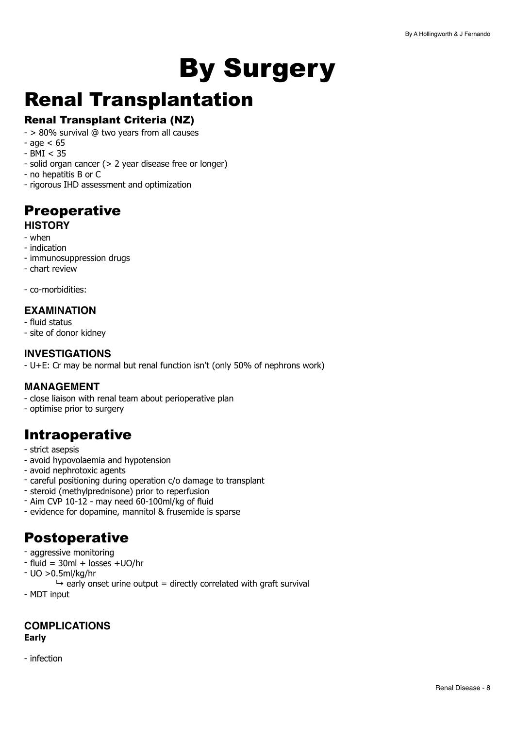# <span id="page-7-0"></span>By Surgery

## <span id="page-7-1"></span>Renal Transplantation

## Renal Transplant Criteria (NZ)

- > 80% survival @ two years from all causes
- $-$  age  $< 65$
- $-$  BMI  $<$  35
- solid organ cancer (> 2 year disease free or longer)
- no hepatitis B or C
- rigorous IHD assessment and optimization

## **Preoperative**

## **HISTORY**

- when
- indication
- immunosuppression drugs
- chart review
- co-morbidities:

### **EXAMINATION**

- fluid status
- site of donor kidney

#### **INVESTIGATIONS**

- U+E: Cr may be normal but renal function isn't (only 50% of nephrons work)

#### **MANAGEMENT**

- close liaison with renal team about perioperative plan
- optimise prior to surgery

## Intraoperative

- strict asepsis
- avoid hypovolaemia and hypotension
- avoid nephrotoxic agents
- careful positioning during operation c/o damage to transplant
- steroid (methylprednisone) prior to reperfusion
- Aim CVP 10-12 may need 60-100ml/kg of fluid
- evidence for dopamine, mannitol & frusemide is sparse

## Postoperative

- aggressive monitoring
- $-$  fluid = 30ml + losses  $+$ UO/hr
- UO >0.5ml/kg/hr
	- $\rightarrow$  early onset urine output = directly correlated with graft survival
- MDT input

### **COMPLICATIONS Early**

- infection